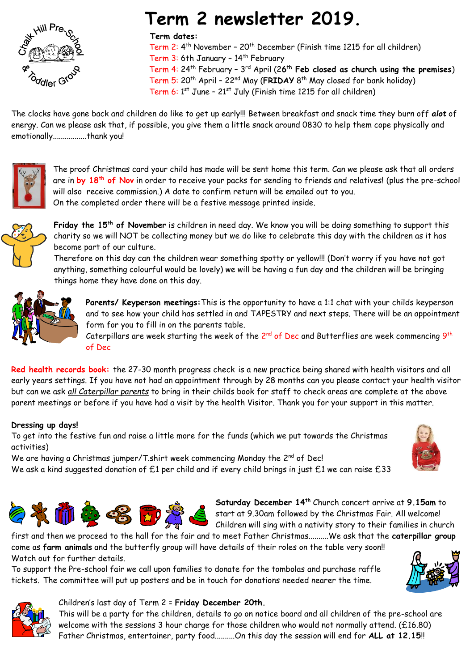

# **Term 2 newsletter 2019.**

### **Term dates:**

 Term 2: 4 th November – 20th December (Finish time 1215 for all children) Term 3: 6th January - 14<sup>th</sup> February Term 4: 24th February – 3 rd April (2**6 th Feb closed as church using the premises**) Term 5: 20th April – 22nd May (**FRIDAY** 8 th May closed for bank holiday) Term 6: 1<sup>st</sup> June - 21<sup>st</sup> July (Finish time 1215 for all children)

The clocks have gone back and children do like to get up early!!! Between breakfast and snack time they burn off *alot* of energy. Can we please ask that, if possible, you give them a little snack around 0830 to help them cope physically and emotionally.................thank you!



The proof Christmas card your child has made will be sent home this term. Can we please ask that all orders are in **by 18 th of Nov** in order to receive your packs for sending to friends and relatives! (plus the pre-school will also receive commission.) A date to confirm return will be emailed out to you. On the completed order there will be a festive message printed inside.



**Friday the 15 th of November** is children in need day. We know you will be doing something to support this charity so we will NOT be collecting money but we do like to celebrate this day with the children as it has become part of our culture.

Therefore on this day can the children wear something spotty or yellow!!! (Don't worry if you have not got anything, something colourful would be lovely) we will be having a fun day and the children will be bringing things home they have done on this day.



**Parents/ Keyperson meetings:**This is the opportunity to have a 1:1 chat with your childs keyperson and to see how your child has settled in and TAPESTRY and next steps. There will be an appointment form for you to fill in on the parents table.

Caterpillars are week starting the week of the 2<sup>nd</sup> of Dec and Butterflies are week commencing  $9^{\text{th}}$ of Dec

**Red health records book:** the 27-30 month progress check is a new practice being shared with health visitors and all early years settings. If you have not had an appointment through by 28 months can you please contact your health visitor but can we ask *all Caterpillar parents* to bring in their childs book for staff to check areas are complete at the above parent meetings or before if you have had a visit by the health Visitor. Thank you for your support in this matter.

## **Dressing up days!**

To get into the festive fun and raise a little more for the funds (which we put towards the Christmas activities)

We are having a Christmas jumper/T.shirt week commencing Monday the 2<sup>nd</sup> of Dec! We ask a kind suggested donation of £1 per child and if every child brings in just £1 we can raise £33





**Saturday December 14th** Church concert arrive at **9.15am** to start at 9.30am followed by the Christmas Fair. All welcome! Children will sing with a nativity story to their families in church

first and then we proceed to the hall for the fair and to meet Father Christmas..........We ask that the **caterpillar group** come as **farm animals** and the butterfly group will have details of their roles on the table very soon!! Watch out for further details.

To support the Pre-school fair we call upon families to donate for the tombolas and purchase raffle tickets. The committee will put up posters and be in touch for donations needed nearer the time.





## Children's last day of Term 2 = **Friday December 20th.**

This will be a party for the children, details to go on notice board and all children of the pre-school are welcome with the sessions 3 hour charge for those children who would not normally attend. (£16.80) Father Christmas, entertainer, party food..........On this day the session will end for **ALL at 12.15**!!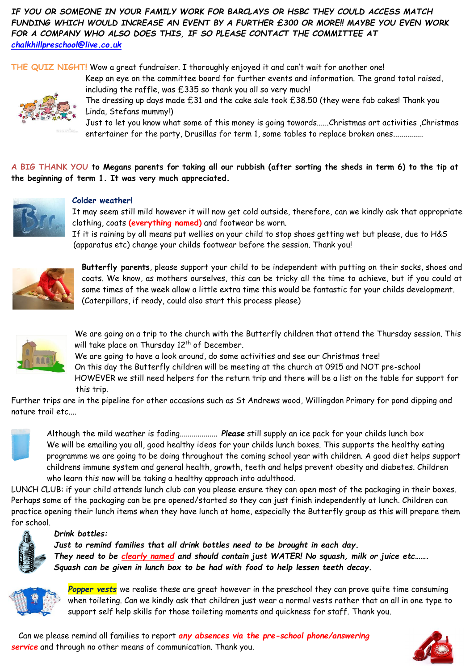*IF YOU OR SOMEONE IN YOUR FAMILY WORK FOR BARCLAYS OR HSBC THEY COULD ACCESS MATCH FUNDING WHICH WOULD INCREASE AN EVENT BY A FURTHER £300 OR MORE!! MAYBE YOU EVEN WORK FOR A COMPANY WHO ALSO DOES THIS, IF SO PLEASE CONTACT THE COMMITTEE AT [chalkhillpreschool@live.co.uk](mailto:chalkhillpreschool@live.co.uk)*

**THE QUIZ NIGHT!** Wow a great fundraiser. I thoroughly enjoyed it and can't wait for another one!



including the raffle, was £335 so thank you all so very much! The dressing up days made £31 and the cake sale took £38.50 (they were fab cakes! Thank you Linda, Stefans mummy!)

Keep an eye on the committee board for further events and information. The grand total raised,

Just to let you know what some of this money is going towards......Christmas art activities ,Christmas entertainer for the party, Drusillas for term 1, some tables to replace broken ones...............

**A BIG THANK YOU to Megans parents for taking all our rubbish (after sorting the sheds in term 6) to the tip at the beginning of term 1. It was very much appreciated.**



### **Colder weather!**

It may seem still mild however it will now get cold outside, therefore, can we kindly ask that appropriate clothing, coats **(everything named)** and footwear be worn.

If it is raining by all means put wellies on your child to stop shoes getting wet but please, due to H&S (apparatus etc) change your childs footwear before the session. Thank you!



**Butterfly parents**, please support your child to be independent with putting on their socks, shoes and coats. We know, as mothers ourselves, this can be tricky all the time to achieve, but if you could at some times of the week allow a little extra time this would be fantastic for your childs development. (Caterpillars, if ready, could also start this process please)



We are going on a trip to the church with the Butterfly children that attend the Thursday session. This will take place on Thursday 12<sup>th</sup> of December.

We are going to have a look around, do some activities and see our Christmas tree!

On this day the Butterfly children will be meeting at the church at 0915 and NOT pre-school HOWEVER we still need helpers for the return trip and there will be a list on the table for support for this trip.

Further trips are in the pipeline for other occasions such as St Andrews wood, Willingdon Primary for pond dipping and nature trail etc....



Although the mild weather is fading................... *Please* still supply an ice pack for your childs lunch box We will be emailing you all, good healthy ideas for your childs lunch boxes. This supports the healthy eating programme we are going to be doing throughout the coming school year with children. A good diet helps support childrens immune system and general health, growth, teeth and helps prevent obesity and diabetes. Children who learn this now will be taking a healthy approach into adulthood.

LUNCH CLUB: if your child attends lunch club can you please ensure they can open most of the packaging in their boxes. Perhaps some of the packaging can be pre opened/started so they can just finish independently at lunch. Children can practice opening their lunch items when they have lunch at home, especially the Butterfly group as this will prepare them for school.



### *Drink bottles:*

*Just to remind families that all drink bottles need to be brought in each day. They need to be clearly named and should contain just WATER! No squash, milk or juice etc……. Squash can be given in lunch box to be had with food to help lessen teeth decay.*



*Popper vests* we realise these are great however in the preschool they can prove quite time consuming when toileting. Can we kindly ask that children just wear a normal vests rather that an all in one type to support self help skills for those toileting moments and quickness for staff. Thank you.